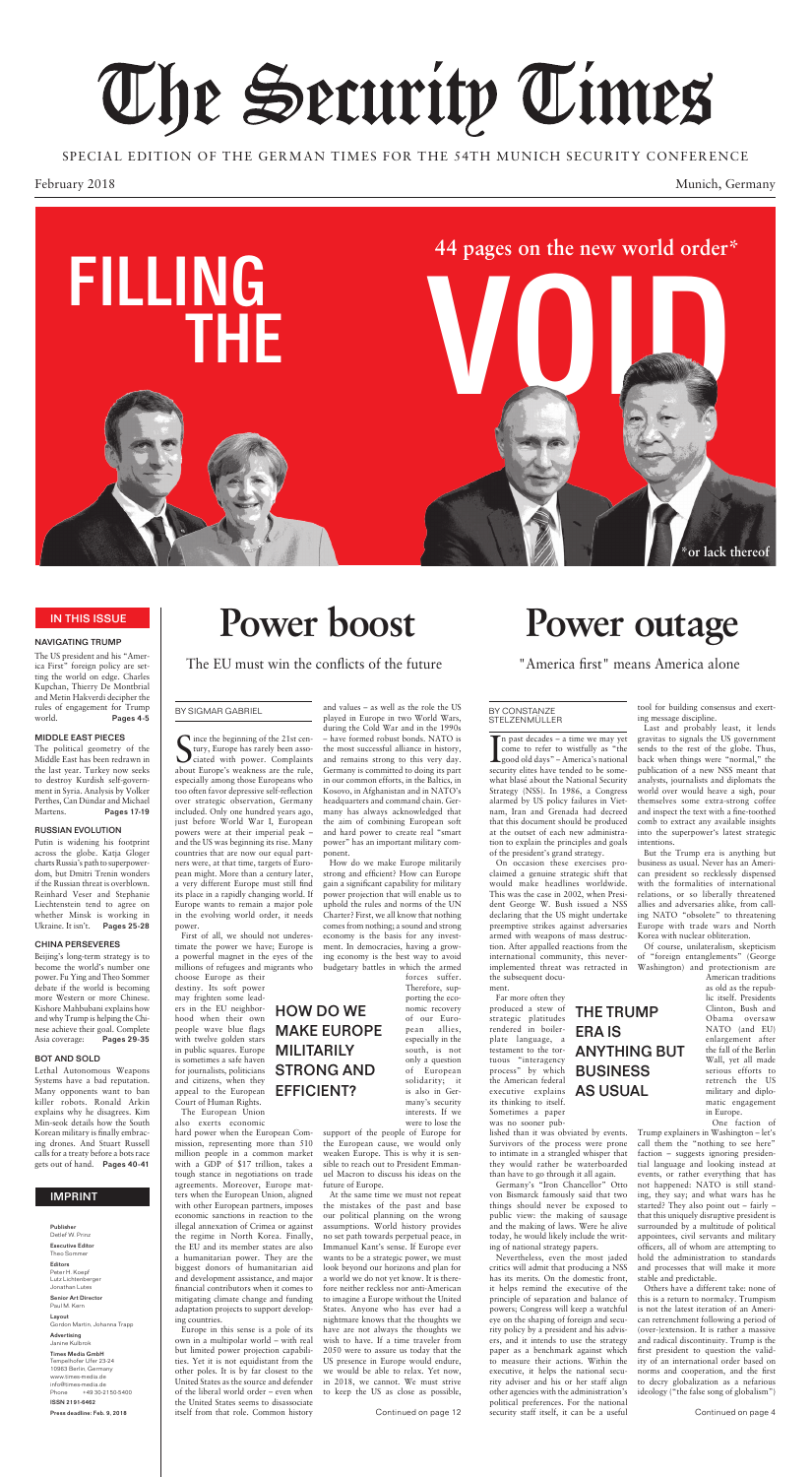February 2018 Munich, Germany

## The Security Times

SPECIAL EDITION OF THE GERMAN TIMES FOR THE 54TH MUNICH SECURITY CONFERENCE

S ince the beginning of the 21st centrury, Europe has rarely been associated with power. Complaints ince the beginning of the 21st century, Europe has rarely been assoabout Europe's weakness are the rule, especially among those Europeans who too often favor depressive self-reflection over strategic observation, Germany included. Only one hundred years ago, just before World War I, European powers were at their imperial peak – and the US was beginning its rise. Many countries that are now our equal partners were, at that time, targets of European might. More than a century later, a very different Europe must still find its place in a rapidly changing world. If Europe wants to remain a major pole in the evolving world order, it needs power.

First of all, we should not underestimate the power we have; Europe is a powerful magnet in the eyes of the millions of refugees and migrants who

choose Europe as their destiny. Its soft power may frighten some leaders in the EU neighborhood when their own people wave blue flags with twelve golden stars in public squares. Europe is sometimes a safe haven for journalists, politicians and citizens, when they appeal to the European Court of Human Rights.

The European Union also exerts economic

hard power when the European Commission, representing more than 510 million people in a common market with a GDP of \$17 trillion, takes a tough stance in negotiations on trade agreements. Moreover, Europe matters when the European Union, aligned with other European partners, imposes economic sanctions in reaction to the illegal annexation of Crimea or against the regime in North Korea. Finally, the EU and its member states are also a humanitarian power. They are the biggest donors of humanitarian aid and development assistance, and major financial contributors when it comes to mitigating climate change and funding adaptation projects to support developing countries.

Europe in this sense is a pole of its own in a multipolar world – with real but limited power projection capabilities. Yet it is not equidistant from the other poles. It is by far closest to the United States as the source and defender of the liberal world order – even when the United States seems to disassociate itself from that role. Common history

and values – as well as the role the US played in Europe in two World Wars, during the Cold War and in the 1990s – have formed robust bonds. NATO is the most successful alliance in history, and remains strong to this very day. Germany is committed to doing its part in our common efforts, in the Baltics, in Kosovo, in Afghanistan and in NATO's headquarters and command chain. Ger-

In past decades – a time we may yet<br>
come to refer to wistfully as "the<br>
good old days" – America's national<br>
segurity clites have tonded to be some n past decades – a time we may yet come to refer to wistfully as "the security elites have tended to be somewhat blasé about the National Security Strategy (NSS). In 1986, a Congress alarmed by US policy failures in Vietnam, Iran and Grenada had decreed that this document should be produced at the outset of each new administration to explain the principles and goals of the president's grand strategy. On occasion these exercises proclaimed a genuine strategic shift that would make headlines worldwide. This was the case in 2002, when President George W. Bush issued a NSS declaring that the US might undertake preemptive strikes against adversaries armed with weapons of mass destruction. After appalled reactions from the international community, this neverimplemented threat was retracted in the subsequent docu-

many has always acknowledged that the aim of combining European soft and hard power to create real "smart power" has an important military component.

> Nevertheless, even the most jaded critics will admit that producing a NSS has its merits. On the domestic front, it helps remind the executive of the principle of separation and balance of powers; Congress will keep a watchful eye on the shaping of foreign and security policy by a president and his advisers, and it intends to use the strategy paper as a benchmark against which to measure their actions. Within the executive, it helps the national security adviser and his or her staff align other agencies with the administration's political preferences. For the national Continued on page 12 security staff itself, it can be a useful continued on page 4

How do we make Europe militarily strong and efficient? How can Europe gain a significant capability for military power projection that will enable us to uphold the rules and norms of the UN Charter? First, we all know that nothing comes from nothing; a sound and strong economy is the basis for any investment. In democracies, having a growing economy is the best way to avoid budgetary battles in which the armed

forces suffer. Therefore, supporting the economic recovery of our European allies, especially in the south, is not only a question of European solidarity; it is also in Germany's security interests. If we were to lose the

support of the people of Europe for the European cause, we would only weaken Europe. This is why it is sensible to reach out to President Emmanuel Macron to discuss his ideas on the future of Europe.

At the same time we must not repeat the mistakes of the past and base our political planning on the wrong assumptions. World history provides no set path towards perpetual peace, in Immanuel Kant's sense. If Europe ever wants to be a strategic power, we must look beyond our horizons and plan for a world we do not yet know. It is therefore neither reckless nor anti-American to imagine a Europe without the United States. Anyone who has ever had a nightmare knows that the thoughts we have are not always the thoughts we wish to have. If a time traveler from 2050 were to assure us today that the US presence in Europe would endure, we would be able to relax. Yet now, in 2018, we cannot. We must strive to keep the US as close as possible,

ment.

Far more often they

produced a stew of strategic platitudes rendered in boilerplate language, a testament to the tortuous "interagency process" by which the American federal executive explains its thinking to itself. Sometimes a paper was no sooner pub-

lished than it was obviated by events. Survivors of the process were prone to intimate in a strangled whisper that they would rather be waterboarded than have to go through it all again.

Germany's "Iron Chancellor" Otto von Bismarck famously said that two things should never be exposed to public view: the making of sausage and the making of laws. Were he alive today, he would likely include the writing of national strategy papers.

tool for building consensus and exerting message discipline.

Last and probably least, it lends gravitas to signals the US government sends to the rest of the globe. Thus, back when things were "normal," the publication of a new NSS meant that analysts, journalists and diplomats the world over would heave a sigh, pour themselves some extra-strong coffee and inspect the text with a fine-toothed

comb to extract any available insights into the superpower's latest strategic intentions.

But the Trump era is anything but business as usual. Never has an American president so recklessly dispensed with the formalities of international relations, or so liberally threatened allies and adversaries alike, from calling NATO "obsolete" to threatening Europe with trade wars and North Korea with nuclear obliteration.

Of course, unilateralism, skepticism of "foreign entanglements" (George Washington) and protectionism are

> American traditions as old as the republic itself. Presidents Clinton, Bush and Obama oversaw NATO (and EU) enlargement after the fall of the Berlin Wall, yet all made serious efforts to retrench the US military and diplomatic engagement in Europe.

One faction of

Trump explainers in Washington – let's call them the "nothing to see here" faction – suggests ignoring presidential language and looking instead at events, or rather everything that has not happened: NATO is still standing, they say; and what wars has he started? They also point out – fairly – that this uniquely disruptive president is surrounded by a multitude of political appointees, civil servants and military officers, all of whom are attempting to hold the administration to standards and processes that will make it more stable and predictable.

Others have a different take: none of this is a return to normalcy. Trumpism is not the latest iteration of an American retrenchment following a period of (over-)extension. It is rather a massive and radical discontinuity. Trump is the first president to question the validity of an international order based on norms and cooperation, and the first to decry globalization as a nefarious ideology ("the false song of globalism")

#### NAVIGATING TRUMP

The US president and his "America First" foreign policy are setting the world on edge. Charles Kupchan, Thierry De Montbrial and Metin Hakverdi decipher the rules of engagement for Trump world. Pages 4-5

#### MIDDLE EAST PIECES

The political geometry of the Middle East has been redrawn in the last year. Turkey now seeks to destroy Kurdish self-government in Syria. Analysis by Volker Perthes, Can Dündar and Michael

Martens. Pages 17-19

#### RUSSIAN EVOLUTION

Putin is widening his footprint across the globe. Katja Gloger charts Russia's path to superpowerdom, but Dmitri Trenin wonders if the Russian threat is overblown. Reinhard Veser and Stephanie Liechtenstein tend to agree on whether Minsk is working in Ukraine. It isn't. Pages 25-28

#### CHINA PERSEVERES

Beijing's long-term strategy is to become the world's number one power. Fu Ying and Theo Sommer debate if the world is becoming more Western or more Chinese. Kishore Mahbubani explains how and why Trump is helping the Chinese achieve their goal. Complete Asia coverage: Pages 29-35

#### BOT AND SOLD

Lethal Autonomous Weapons Systems have a bad reputation. Many opponents want to ban killer robots. Ronald Arkin explains why he disagrees. Kim Min-seok details how the South Korean military is finally embracing drones. And Stuart Russell calls for a treaty before a bots race gets out of hand. Pages 40-41

## **Power boost**

The EU must win the conflicts of the future

### **Power outage**

"America first" means America alone

Publisher Detlef W. Prinz

Executive Editor Theo Sommer

Editors Peter H. Koepf Lutz Lichtenberger Jonathan Lutes

Senior Art Director Paul M. Kern

Layout Gordon Martin, Johanna Trapp

Advertising Janine Kulbrok

Times Media GmbH Tempelhofer Ufer 23-24 10963 Berlin, Germany www.times-media.de info@times-media.de Phone +49 30-2150-5400

ISSN 2191-6462

Press deadline: Feb. 9, 2018

#### IMPRINT

#### IN THIS ISSUE

#### BY CONSTANZE STELZENMÜLLER

BY SIGMAR GABRIEL

HOW DO WE

MAKE EUROPE

MILITARILY

STRONG AND

EFFICIENT?

THE TRUMP

ERA IS

ANYTHING BUT

BUSINESS

AS USUAL